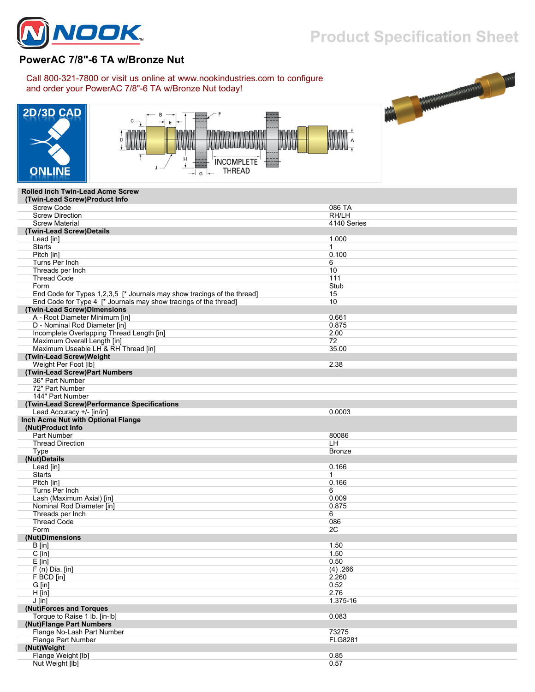

## **Product Specification Sheet**

## **PowerAC 7/8"-6 TA w/Bronze Nut**

Call 800-321-7800 or visit us online at www.nookindustries.com to configure and order your PowerAC 7/8"-6 TA w/Bronze Nut today!







## **Rolled Inch Twin-Lead Acme Screw**

| (Twin-Lead Screw)Product Info                                           |                |
|-------------------------------------------------------------------------|----------------|
| <b>Screw Code</b>                                                       | 086 TA         |
| <b>Screw Direction</b>                                                  | RH/LH          |
| <b>Screw Material</b>                                                   | 4140 Series    |
| (Twin-Lead Screw)Details                                                |                |
| Lead [in]                                                               | 1.000          |
| <b>Starts</b>                                                           | $\mathbf 1$    |
| Pitch [in]                                                              | 0.100          |
| Turns Per Inch                                                          | 6              |
| Threads per Inch                                                        | 10             |
| <b>Thread Code</b>                                                      | 111            |
| Form                                                                    | Stub           |
| End Code for Types 1,2,3,5 [* Journals may show tracings of the thread] | 15             |
| End Code for Type 4 [* Journals may show tracings of the thread]        | 10             |
| (Twin-Lead Screw)Dimensions                                             |                |
| A - Root Diameter Minimum [in]                                          | 0.661          |
| D - Nominal Rod Diameter [in]                                           | 0.875          |
| Incomplete Overlapping Thread Length [in]                               | 2.00           |
| Maximum Overall Length [in]                                             | 72             |
| Maximum Useable LH & RH Thread [in]                                     | 35.00          |
| (Twin-Lead Screw)Weight                                                 |                |
| Weight Per Foot [lb]                                                    | 2.38           |
| (Twin-Lead Screw)Part Numbers                                           |                |
| 36" Part Number                                                         |                |
| 72" Part Number                                                         |                |
| 144" Part Number                                                        |                |
|                                                                         |                |
| (Twin-Lead Screw)Performance Specifications                             | 0.0003         |
| Lead Accuracy +/- [in/in]                                               |                |
| Inch Acme Nut with Optional Flange                                      |                |
| (Nut)Product Info                                                       |                |
| <b>Part Number</b>                                                      | 80086          |
| <b>Thread Direction</b>                                                 | LH.            |
| Type                                                                    | <b>Bronze</b>  |
| (Nut)Details                                                            |                |
| Lead [in]                                                               | 0.166          |
| <b>Starts</b>                                                           | 1              |
| Pitch [in]                                                              | 0.166          |
| Turns Per Inch                                                          | 6              |
| Lash (Maximum Axial) [in]                                               | 0.009          |
| Nominal Rod Diameter [in]                                               | 0.875          |
| Threads per Inch                                                        | 6              |
| <b>Thread Code</b>                                                      | 086            |
| Form                                                                    | 2C             |
| (Nut)Dimensions                                                         |                |
| B [in]                                                                  | 1.50           |
| $C$ [in]                                                                | 1.50           |
| $E$ [in]                                                                | 0.50           |
| $F(n)$ Dia. [in]                                                        | (4) .266       |
| F BCD [in]                                                              | 2.260          |
| G [in]                                                                  | 0.52           |
| $H$ [in]                                                                | 2.76           |
| $J$ [in]                                                                | 1.375-16       |
| (Nut)Forces and Torques                                                 |                |
| Torque to Raise 1 lb. [in-lb]                                           | 0.083          |
| (Nut)Flange Part Numbers                                                |                |
| Flange No-Lash Part Number                                              | 73275          |
| Flange Part Number                                                      | <b>FLG8281</b> |
| (Nut)Weight                                                             |                |
| Flange Weight [lb]                                                      | 0.85           |
| Nut Weight [lb]                                                         | 0.57           |
|                                                                         |                |